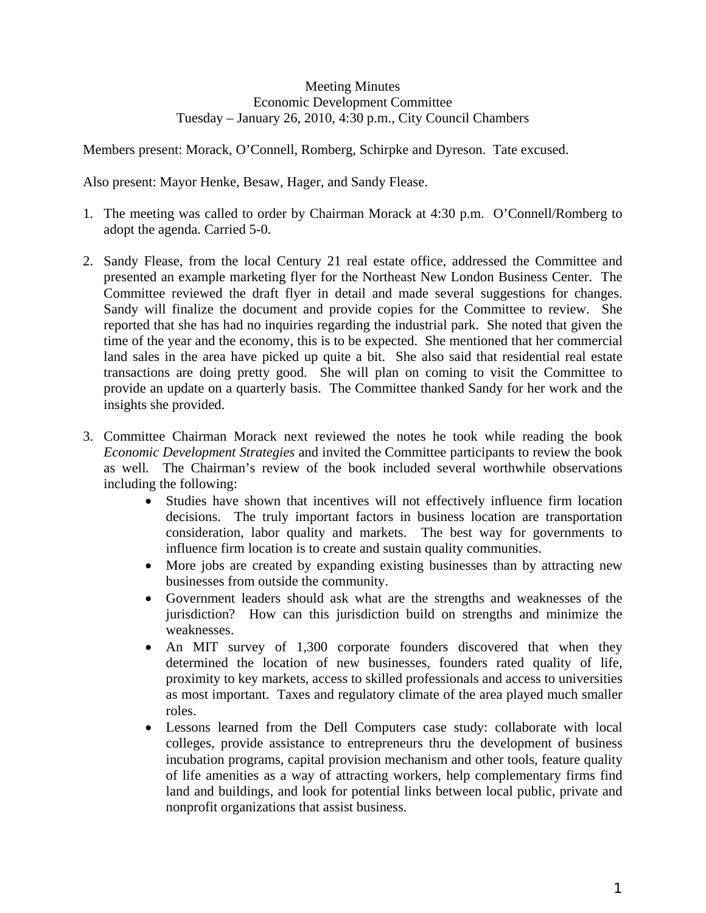## Meeting Minutes Economic Development Committee Tuesday – January 26, 2010, 4:30 p.m., City Council Chambers

Members present: Morack, O'Connell, Romberg, Schirpke and Dyreson. Tate excused.

Also present: Mayor Henke, Besaw, Hager, and Sandy Flease.

- 1. The meeting was called to order by Chairman Morack at 4:30 p.m. O'Connell/Romberg to adopt the agenda. Carried 5-0.
- 2. Sandy Flease, from the local Century 21 real estate office, addressed the Committee and presented an example marketing flyer for the Northeast New London Business Center. The Committee reviewed the draft flyer in detail and made several suggestions for changes. Sandy will finalize the document and provide copies for the Committee to review. She reported that she has had no inquiries regarding the industrial park. She noted that given the time of the year and the economy, this is to be expected. She mentioned that her commercial land sales in the area have picked up quite a bit. She also said that residential real estate transactions are doing pretty good. She will plan on coming to visit the Committee to provide an update on a quarterly basis. The Committee thanked Sandy for her work and the insights she provided.
- 3. Committee Chairman Morack next reviewed the notes he took while reading the book *Economic Development Strategies* and invited the Committee participants to review the book as well*.* The Chairman's review of the book included several worthwhile observations including the following:
	- Studies have shown that incentives will not effectively influence firm location decisions. The truly important factors in business location are transportation consideration, labor quality and markets. The best way for governments to influence firm location is to create and sustain quality communities.
	- More jobs are created by expanding existing businesses than by attracting new businesses from outside the community.
	- Government leaders should ask what are the strengths and weaknesses of the jurisdiction? How can this jurisdiction build on strengths and minimize the weaknesses.
	- An MIT survey of 1,300 corporate founders discovered that when they determined the location of new businesses, founders rated quality of life, proximity to key markets, access to skilled professionals and access to universities as most important. Taxes and regulatory climate of the area played much smaller roles.
	- Lessons learned from the Dell Computers case study: collaborate with local colleges, provide assistance to entrepreneurs thru the development of business incubation programs, capital provision mechanism and other tools, feature quality of life amenities as a way of attracting workers, help complementary firms find land and buildings, and look for potential links between local public, private and nonprofit organizations that assist business.